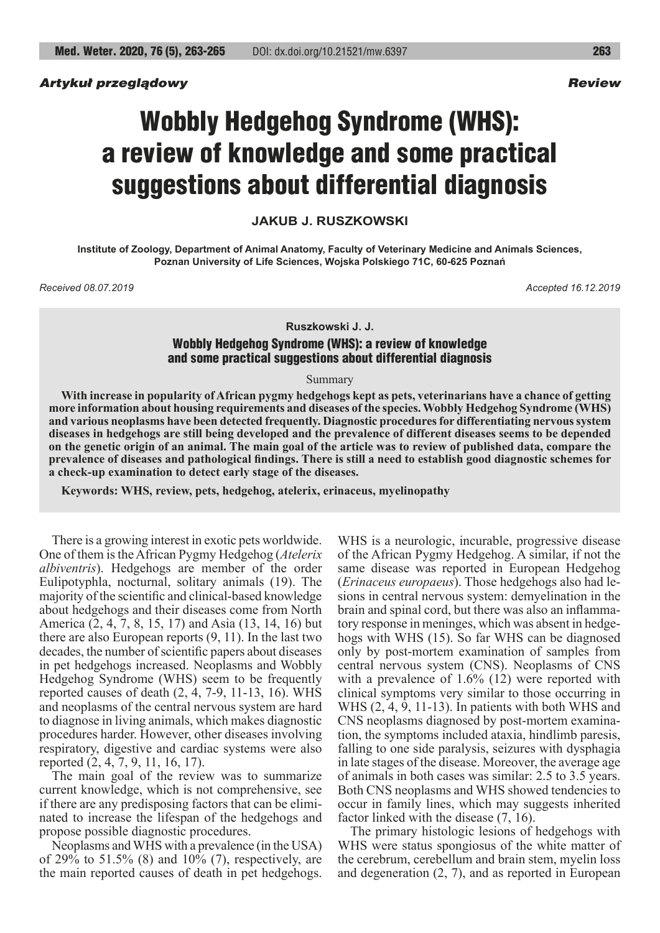## *Artykuł przeglądowy Review*

# Wobbly Hedgehog Syndrome (WHS): a review of knowledge and some practical suggestions about differential diagnosis

**JAKUB J. RUSZKOWSKI**

**Institute of Zoology, Department of Animal Anatomy, Faculty of Veterinary Medicine and Animals Sciences, Poznan University of Life Sciences, Wojska Polskiego 71C, 60-625 Poznań**

*Received 08.07.2019 Accepted 16.12.2019*

#### **Ruszkowski J. J.**

# Wobbly Hedgehog Syndrome (WHS): a review of knowledge and some practical suggestions about differential diagnosis

Summary

**With increase in popularity of African pygmy hedgehogs kept as pets, veterinarians have a chance of getting more information about housing requirements and diseases of the species. Wobbly Hedgehog Syndrome (WHS) and various neoplasms have been detected frequently. Diagnostic procedures for differentiating nervous system diseases in hedgehogs are still being developed and the prevalence of different diseases seems to be depended on the genetic origin of an animal. The main goal of the article was to review of published data, compare the prevalence of diseases and pathological findings. There is still a need to establish good diagnostic schemes for a check-up examination to detect early stage of the diseases.**

**Keywords: WHS, review, pets, hedgehog, atelerix, erinaceus, myelinopathy**

There is a growing interest in exotic pets worldwide. One of them is the African Pygmy Hedgehog (*Atelerix albiventris*). Hedgehogs are member of the order Eulipotyphla, nocturnal, solitary animals (19). The majority of the scientific and clinical-based knowledge about hedgehogs and their diseases come from North America (2, 4, 7, 8, 15, 17) and Asia (13, 14, 16) but there are also European reports (9, 11). In the last two decades, the number of scientific papers about diseases in pet hedgehogs increased. Neoplasms and Wobbly Hedgehog Syndrome (WHS) seem to be frequently reported causes of death (2, 4, 7-9, 11-13, 16). WHS and neoplasms of the central nervous system are hard to diagnose in living animals, which makes diagnostic procedures harder. However, other diseases involving respiratory, digestive and cardiac systems were also reported (2, 4, 7, 9, 11, 16, 17).

The main goal of the review was to summarize current knowledge, which is not comprehensive, see if there are any predisposing factors that can be eliminated to increase the lifespan of the hedgehogs and propose possible diagnostic procedures.

Neoplasms and WHS with a prevalence (in the USA) of 29% to 51.5% (8) and 10% (7), respectively, are the main reported causes of death in pet hedgehogs.

WHS is a neurologic, incurable, progressive disease of the African Pygmy Hedgehog. A similar, if not the same disease was reported in European Hedgehog (*Erinaceus europaeus*). Those hedgehogs also had lesions in central nervous system: demyelination in the brain and spinal cord, but there was also an inflammatory response in meninges, which was absent in hedgehogs with WHS (15). So far WHS can be diagnosed only by post-mortem examination of samples from central nervous system (CNS). Neoplasms of CNS with a prevalence of 1.6% (12) were reported with clinical symptoms very similar to those occurring in WHS (2, 4, 9, 11-13). In patients with both WHS and CNS neoplasms diagnosed by post-mortem examination, the symptoms included ataxia, hindlimb paresis, falling to one side paralysis, seizures with dysphagia in late stages of the disease. Moreover, the average age of animals in both cases was similar: 2.5 to 3.5 years. Both CNS neoplasms and WHS showed tendencies to occur in family lines, which may suggests inherited factor linked with the disease (7, 16).

The primary histologic lesions of hedgehogs with WHS were status spongiosus of the white matter of the cerebrum, cerebellum and brain stem, myelin loss and degeneration (2, 7), and as reported in European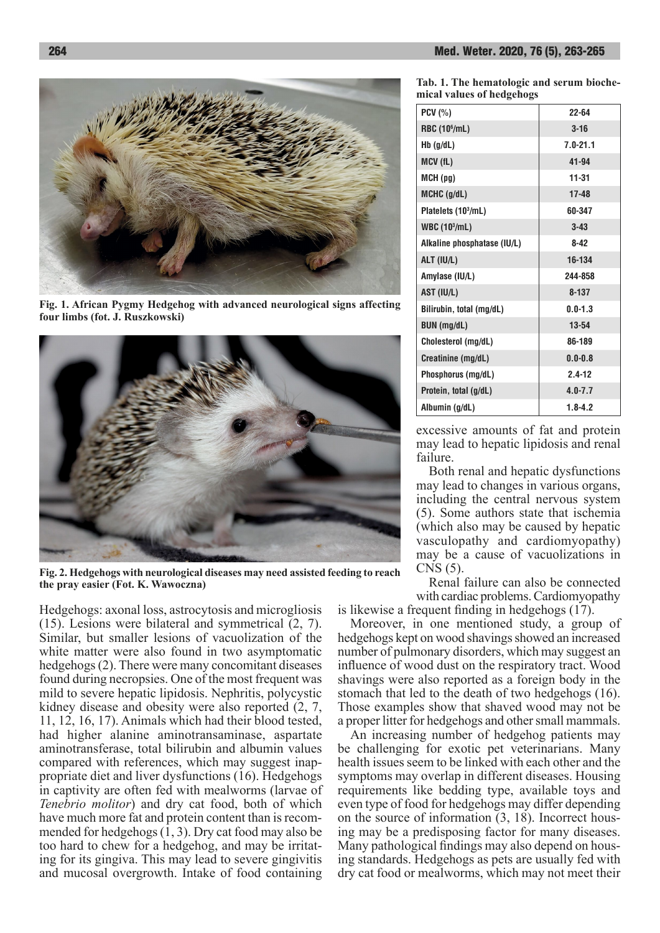

**Fig. 1. African Pygmy Hedgehog with advanced neurological signs affecting four limbs (fot. J. Ruszkowski)**



**Fig. 2. Hedgehogs with neurological diseases may need assisted feeding to reach the pray easier (Fot. K. Wawoczna)**

Hedgehogs: axonal loss, astrocytosis and microgliosis (15). Lesions were bilateral and symmetrical (2, 7). Similar, but smaller lesions of vacuolization of the white matter were also found in two asymptomatic hedgehogs (2). There were many concomitant diseases found during necropsies. One of the most frequent was mild to severe hepatic lipidosis. Nephritis, polycystic kidney disease and obesity were also reported (2, 7, 11, 12, 16, 17). Animals which had their blood tested, had higher alanine aminotransaminase, aspartate aminotransferase, total bilirubin and albumin values compared with references, which may suggest inappropriate diet and liver dysfunctions (16). Hedgehogs in captivity are often fed with mealworms (larvae of *Tenebrio molitor*) and dry cat food, both of which have much more fat and protein content than is recommended for hedgehogs  $(1, 3)$ . Dry cat food may also be too hard to chew for a hedgehog, and may be irritating for its gingiva. This may lead to severe gingivitis and mucosal overgrowth. Intake of food containing

**Tab. 1. The hematologic and serum biochemical values of hedgehogs**

| $PCV$ (%)                       | 22-64        |
|---------------------------------|--------------|
| <b>RBC (10<sup>6</sup>/mL)</b>  | $3 - 16$     |
| $Hb$ (g/dL)                     | $7.0 - 21.1$ |
| MCV(fL)                         | $41 - 94$    |
| $MCH$ (pg)                      | 11-31        |
| MCHC (g/dL)                     | 17-48        |
| Platelets (10 <sup>3</sup> /mL) | 60-347       |
| WBC $(103/mL)$                  | $3 - 43$     |
| Alkaline phosphatase (IU/L)     | $8 - 42$     |
| ALT (IU/L)                      | 16-134       |
| Amylase (IU/L)                  | 244-858      |
| AST (IU/L)                      | $8 - 137$    |
| Bilirubin, total (mg/dL)        | $0.0 - 1.3$  |
| <b>BUN</b> (mg/dL)              | 13-54        |
| Cholesterol (mg/dL)             | 86-189       |
| Creatinine (mg/dL)              | $0.0 - 0.8$  |
| Phosphorus (mg/dL)              | $2.4 - 12$   |
| Protein, total (g/dL)           | $4.0 - 7.7$  |
| Albumin (g/dL)                  | $1.8 - 4.2$  |

excessive amounts of fat and protein may lead to hepatic lipidosis and renal failure.

Both renal and hepatic dysfunctions may lead to changes in various organs, including the central nervous system (5). Some authors state that ischemia (which also may be caused by hepatic vasculopathy and cardiomyopathy) may be a cause of vacuolizations in CNS (5).

Renal failure can also be connected with cardiac problems. Cardiomyopathy

is likewise a frequent finding in hedgehogs (17). Moreover, in one mentioned study, a group of hedgehogs kept on wood shavings showed an increased

number of pulmonary disorders, which may suggest an influence of wood dust on the respiratory tract. Wood shavings were also reported as a foreign body in the stomach that led to the death of two hedgehogs (16). Those examples show that shaved wood may not be a proper litter for hedgehogs and other small mammals.

An increasing number of hedgehog patients may be challenging for exotic pet veterinarians. Many health issues seem to be linked with each other and the symptoms may overlap in different diseases. Housing requirements like bedding type, available toys and even type of food for hedgehogs may differ depending on the source of information (3, 18). Incorrect housing may be a predisposing factor for many diseases. Many pathological findings may also depend on housing standards. Hedgehogs as pets are usually fed with dry cat food or mealworms, which may not meet their